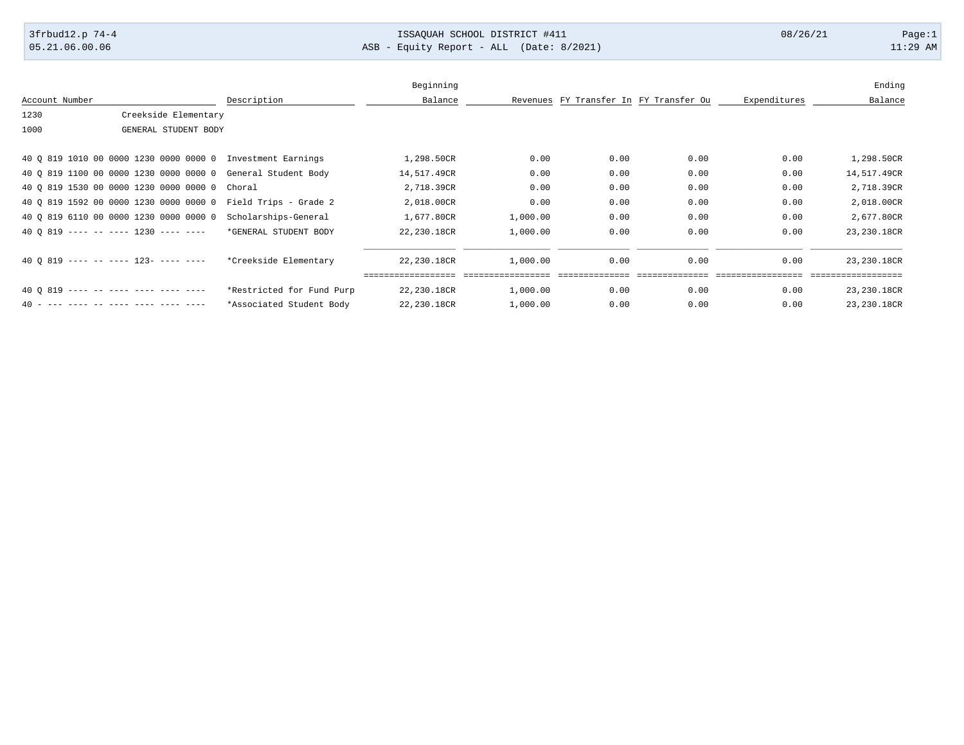## 3frbud12.p 74-4 13SAQUAH SCHOOL DISTRICT #411 08/26/21 Page:1

05.21.06.00.06 ASB - Equity Report - ALL (Date: 8/2021) 11:29 AM

|                |                                                              |                           | Beginning   |          |      |                                        |              | Ending       |
|----------------|--------------------------------------------------------------|---------------------------|-------------|----------|------|----------------------------------------|--------------|--------------|
|                |                                                              |                           |             |          |      |                                        |              |              |
| Account Number |                                                              | Description               | Balance     |          |      | Revenues FY Transfer In FY Transfer Ou | Expenditures | Balance      |
| 1230           | Creekside Elementary                                         |                           |             |          |      |                                        |              |              |
| 1000           | GENERAL STUDENT BODY                                         |                           |             |          |      |                                        |              |              |
|                | 40 0 819 1010 00 0000 1230 0000 0000 0 Investment Earnings   |                           | 1,298.50CR  | 0.00     | 0.00 | 0.00                                   | 0.00         | 1,298.50CR   |
|                | 40 0 819 1100 00 0000 1230 0000 0000 0 General Student Body  |                           | 14,517.49CR | 0.00     | 0.00 | 0.00                                   | 0.00         | 14,517.49CR  |
|                | 40 Q 819 1530 00 0000 1230 0000 0000 0                       | Choral                    | 2,718.39CR  | 0.00     | 0.00 | 0.00                                   | 0.00         | 2,718.39CR   |
|                | 40 0 819 1592 00 0000 1230 0000 0000 0 Field Trips - Grade 2 |                           | 2,018.00CR  | 0.00     | 0.00 | 0.00                                   | 0.00         | 2,018.00CR   |
|                | 40 0 819 6110 00 0000 1230 0000 0000 0                       | Scholarships-General      | 1,677.80CR  | 1,000.00 | 0.00 | 0.00                                   | 0.00         | 2,677.80CR   |
|                | $40.0.819$ ---- -- ---- 1230 ---- ----                       | *GENERAL STUDENT BODY     | 22,230.18CR | 1,000.00 | 0.00 | 0.00                                   | 0.00         | 23, 230.18CR |
|                | $40.0.819$ ---- -- ---- 123- ---- ----                       | *Creekside Elementary     | 22,230.18CR | 1,000.00 | 0.00 | 0.00                                   | 0.00         | 23,230.18CR  |
|                | $400819$ ---- -- ---- ---- ---- ----                         | *Restricted for Fund Purp | 22,230.18CR | 1,000.00 | 0.00 | 0.00                                   | 0.00         | 23,230.18CR  |
|                |                                                              | *Associated Student Body  | 22,230.18CR | 1,000.00 | 0.00 | 0.00                                   | 0.00         | 23, 230.18CR |